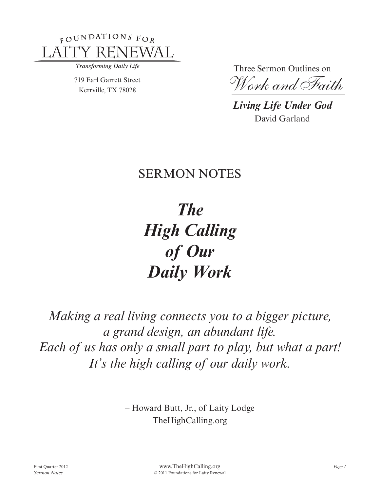

Transforming Daily Life

719 Earl Garrett Street Kerrville, TX 78028

Three Sermon Outlines on

*Work and Faith*

*Living Life Under God* David Garland

# **SERMON NOTES**

*The High Calling of Our Daily Work*

*Making a real living connects you to a bigger picture, a grand design, an abundant life. Each of us has only a small part to play, but what a part! It's the high calling of our daily work.*

> – Howard Butt, Jr., of Laity Lodge TheHighCalling.org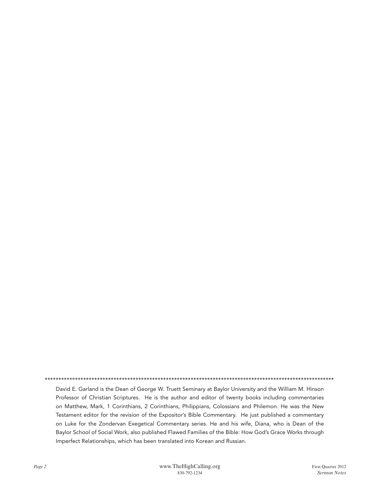David E. Garland is the Dean of George W. Truett Seminary at Baylor University and the William M. Hinson Professor of Christian Scriptures. He is the author and editor of twenty books including commentaries on Matthew, Mark, 1 Corinthians, 2 Corinthians, Philippians, Colossians and Philemon. He was the New Testament editor for the revision of the Expositor's Bible Commentary. He just published a commentary on Luke for the Zondervan Exegetical Commentary series. He and his wife, Diana, who is Dean of the Baylor School of Social Work, also published Flawed Families of the Bible: How God's Grace Works through Imperfect Relationships, which has been translated into Korean and Russian.

\*\*\*\*\*\*\*\*\*\*\*\*\*\*\*\*\*\*\*\*\*\*\*\*\*\*\*\*\*\*\*\*\*\*\*\*\*\*\*\*\*\*\*\*\*\*\*\*\*\*\*\*\*\*\*\*\*\*\*\*\*\*\*\*\*\*\*\*\*\*\*\*\*\*\*\*\*\*\*\*\*\*\*\*\*\*\*\*\*\*\*\*\*\*\*\*\*\*\*\*\*\*\*\*\*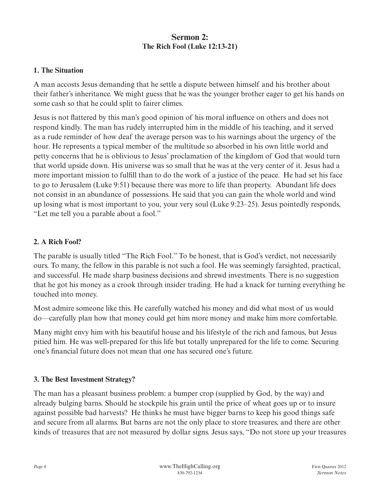# **Sermon 2: The Rich Fool (Luke 12:13-21)**

# **1. The Situation**

A man accosts Jesus demanding that he settle a dispute between himself and his brother about their father's inheritance. We might guess that he was the younger brother eager to get his hands on some cash so that he could split to fairer climes.

Jesus is not flattered by this man's good opinion of his moral influence on others and does not respond kindly. The man has rudely interrupted him in the middle of his teaching, and it served as a rude reminder of how deaf the average person was to his warnings about the urgency of the hour. He represents a typical member of the multitude so absorbed in his own little world and petty concerns that he is oblivious to Jesus' proclamation of the kingdom of God that would turn that world upside down. His universe was so small that he was at the very center of it. Jesus had a more important mission to fulfill than to do the work of a justice of the peace. He had set his face to go to Jerusalem (Luke 9:51) because there was more to life than property. Abundant life does not consist in an abundance of possessions. He said that you can gain the whole world and wind up losing what is most important to you, your very soul (Luke 9:23–25). Jesus pointedly responds, "Let me tell you a parable about a fool."

#### **2. A Rich Fool?**

The parable is usually titled "The Rich Fool." To be honest, that is God's verdict, not necessarily ours. To many, the fellow in this parable is not such a fool. He was seemingly farsighted, practical, and successful. He made sharp business decisions and shrewd investments. There is no suggestion that he got his money as a crook through insider trading. He had a knack for turning everything he touched into money.

Most admire someone like this. He carefully watched his money and did what most of us would do—carefully plan how that money could get him more money and make him more comfortable.

Many might envy him with his beautiful house and his lifestyle of the rich and famous, but Jesus pitied him. He was well-prepared for this life but totally unprepared for the life to come. Securing one's financial future does not mean that one has secured one's future.

#### **3. The Best Investment Strategy?**

The man has a pleasant business problem: a bumper crop (supplied by God, by the way) and already bulging barns. Should he stockpile his grain until the price of wheat goes up or to insure against possible bad harvests? He thinks he must have bigger barns to keep his good things safe and secure from all alarms. But barns are not the only place to store treasures, and there are other kinds of treasures that are not measured by dollar signs. Jesus says, "Do not store up your treasures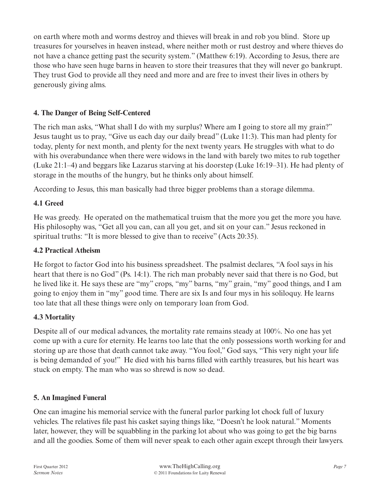on earth where moth and worms destroy and thieves will break in and rob you blind. Store up treasures for yourselves in heaven instead, where neither moth or rust destroy and where thieves do not have a chance getting past the security system." (Matthew 6:19). According to Jesus, there are those who have seen huge barns in heaven to store their treasures that they will never go bankrupt. They trust God to provide all they need and more and are free to invest their lives in others by generously giving alms.

# **4. The Danger of Being Self-Centered**

The rich man asks, "What shall I do with my surplus? Where am I going to store all my grain?" Jesus taught us to pray, "Give us each day our daily bread" (Luke 11:3). This man had plenty for today, plenty for next month, and plenty for the next twenty years. He struggles with what to do with his overabundance when there were widows in the land with barely two mites to rub together (Luke 21:1–4) and beggars like Lazarus starving at his doorstep (Luke 16:19–31). He had plenty of storage in the mouths of the hungry, but he thinks only about himself.

According to Jesus, this man basically had three bigger problems than a storage dilemma.

# **4.1 Greed**

He was greedy. He operated on the mathematical truism that the more you get the more you have. His philosophy was, "Get all you can, can all you get, and sit on your can." Jesus reckoned in spiritual truths: "It is more blessed to give than to receive" (Acts 20:35).

# **4.2 Practical Atheism**

He forgot to factor God into his business spreadsheet. The psalmist declares, "A fool says in his heart that there is no God" (Ps. 14:1). The rich man probably never said that there is no God, but he lived like it. He says these are "my" crops, "my" barns, "my" grain, "my" good things, and I am going to enjoy them in "my" good time. There are six Is and four mys in his soliloquy. He learns too late that all these things were only on temporary loan from God.

# **4.3 Mortality**

Despite all of our medical advances, the mortality rate remains steady at 100%. No one has yet come up with a cure for eternity. He learns too late that the only possessions worth working for and storing up are those that death cannot take away. "You fool," God says, "This very night your life is being demanded of you!" He died with his barns filled with earthly treasures, but his heart was stuck on empty. The man who was so shrewd is now so dead.

# **5. An Imagined Funeral**

One can imagine his memorial service with the funeral parlor parking lot chock full of luxury vehicles. The relatives file past his casket saying things like, "Doesn't he look natural." Moments later, however, they will be squabbling in the parking lot about who was going to get the big barns and all the goodies. Some of them will never speak to each other again except through their lawyers.